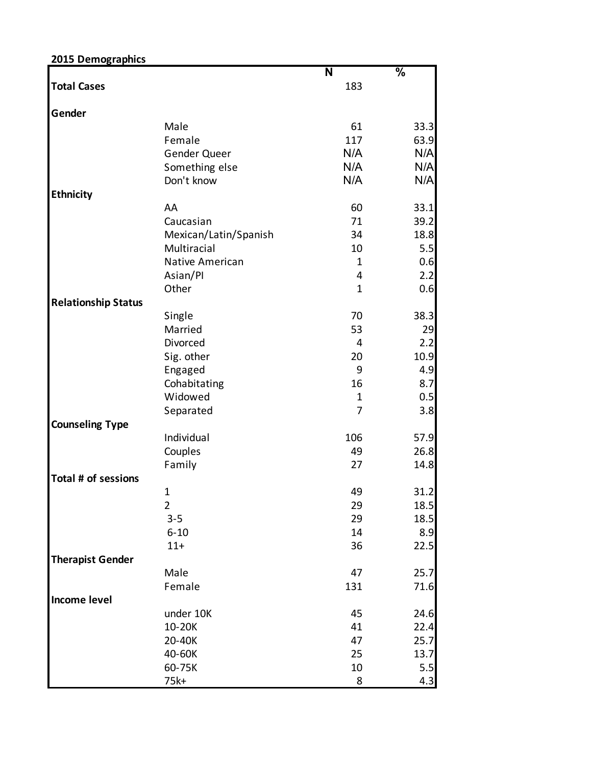| 2015 Demographics          |                       |              |                          |
|----------------------------|-----------------------|--------------|--------------------------|
|                            |                       | N            | $\overline{\frac{9}{6}}$ |
| <b>Total Cases</b>         |                       | 183          |                          |
| Gender                     |                       |              |                          |
|                            | Male                  | 61           | 33.3                     |
|                            | Female                | 117          | 63.9                     |
|                            | Gender Queer          | N/A          | N/A                      |
|                            | Something else        | N/A          | N/A                      |
|                            | Don't know            | N/A          | N/A                      |
| <b>Ethnicity</b>           |                       |              |                          |
|                            | AA                    | 60           | 33.1                     |
|                            | Caucasian             | 71           | 39.2                     |
|                            | Mexican/Latin/Spanish | 34           | 18.8                     |
|                            | Multiracial           | 10           | 5.5                      |
|                            | Native American       | $\mathbf{1}$ | 0.6                      |
|                            | Asian/Pl              | 4            | 2.2                      |
|                            | Other                 | $\mathbf{1}$ | 0.6                      |
| <b>Relationship Status</b> |                       |              |                          |
|                            | Single                | 70           | 38.3                     |
|                            | Married               | 53           | 29                       |
|                            | Divorced              | 4            | 2.2                      |
|                            | Sig. other            | 20           | 10.9                     |
|                            | Engaged               | 9            | 4.9                      |
|                            | Cohabitating          | 16           | 8.7                      |
|                            | Widowed               | $\mathbf{1}$ | 0.5                      |
|                            | Separated             | 7            | 3.8                      |
| <b>Counseling Type</b>     |                       |              |                          |
|                            | Individual            | 106          | 57.9                     |
|                            | Couples               | 49           | 26.8                     |
|                            | Family                | 27           | 14.8                     |
| Total # of sessions        |                       |              |                          |
|                            | $\mathbf 1$           | 49           | 31.2                     |
|                            | $\overline{2}$        | 29           | 18.5                     |
|                            | $3 - 5$               | 29           | 18.5                     |
|                            | $6 - 10$              | 14           | 8.9                      |
|                            | $11+$                 | 36           | 22.5                     |
| <b>Therapist Gender</b>    |                       |              |                          |
|                            | Male                  | 47           | 25.7                     |
|                            | Female                | 131          | 71.6                     |
| <b>Income level</b>        |                       |              |                          |
|                            | under 10K             | 45           | 24.6                     |
|                            | 10-20K                | 41           | 22.4                     |
|                            | 20-40K                | 47           | 25.7                     |
|                            | 40-60K                | 25           | 13.7                     |
|                            | 60-75K                | 10           | 5.5                      |
|                            | 75k+                  | 8            | 4.3                      |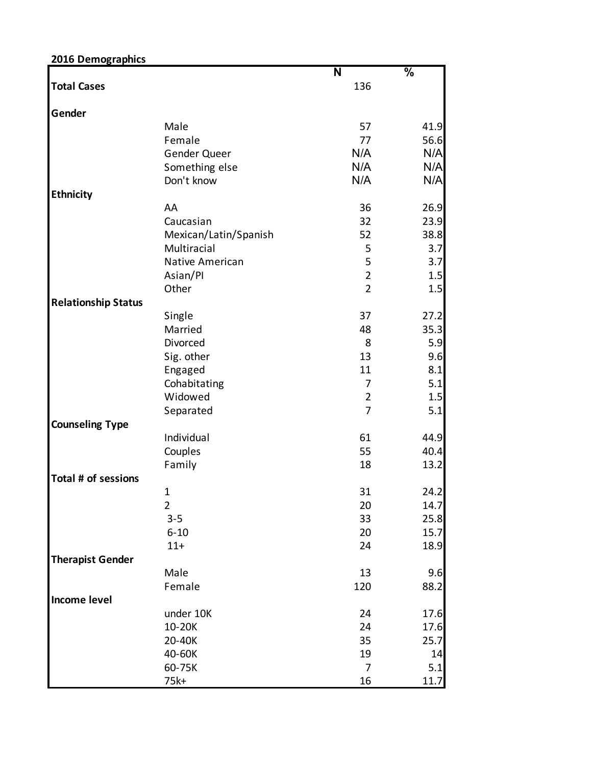| 2016 Demographics          |                       |                |               |
|----------------------------|-----------------------|----------------|---------------|
|                            |                       | N              | $\frac{0}{6}$ |
| <b>Total Cases</b>         |                       | 136            |               |
| Gender                     |                       |                |               |
|                            | Male                  | 57             | 41.9          |
|                            | Female                | 77             | 56.6          |
|                            | Gender Queer          | N/A            | N/A           |
|                            | Something else        | N/A            | N/A           |
|                            | Don't know            | N/A            | N/A           |
| <b>Ethnicity</b>           |                       |                |               |
|                            | AA                    | 36             | 26.9          |
|                            | Caucasian             | 32             | 23.9          |
|                            | Mexican/Latin/Spanish | 52             | 38.8          |
|                            | Multiracial           | 5              | 3.7           |
|                            | Native American       | 5              | 3.7           |
|                            | Asian/Pl              | $\overline{2}$ | 1.5           |
|                            | Other                 | $\overline{2}$ | 1.5           |
| <b>Relationship Status</b> |                       |                |               |
|                            | Single                | 37             | 27.2          |
|                            | Married               | 48             | 35.3          |
|                            | Divorced              | 8              | 5.9           |
|                            | Sig. other            | 13             | 9.6           |
|                            | Engaged               | 11             | 8.1           |
|                            | Cohabitating          | 7              | 5.1           |
|                            | Widowed               | $\overline{2}$ |               |
|                            |                       | $\overline{7}$ | 1.5           |
|                            | Separated             |                | 5.1           |
| <b>Counseling Type</b>     |                       |                |               |
|                            | Individual            | 61             | 44.9          |
|                            | Couples               | 55             | 40.4          |
|                            | Family                | 18             | 13.2          |
| Total # of sessions        |                       |                |               |
|                            | $\mathbf{1}$          | 31             | 24.2          |
|                            | $\overline{2}$        | 20             | 14.7          |
|                            | $3 - 5$               | 33             | 25.8          |
|                            | $6 - 10$              | 20             | 15.7          |
|                            | $11+$                 | 24             | 18.9          |
| <b>Therapist Gender</b>    |                       |                |               |
|                            | Male                  | 13             | 9.6           |
|                            | Female                | 120            | 88.2          |
| <b>Income level</b>        |                       |                |               |
|                            | under 10K             | 24             | 17.6          |
|                            | 10-20K                | 24             | 17.6          |
|                            | 20-40K                | 35             | 25.7          |
|                            | 40-60K                | 19             | 14            |
|                            | 60-75K                | 7              | 5.1           |
|                            | 75k+                  | 16             | 11.7          |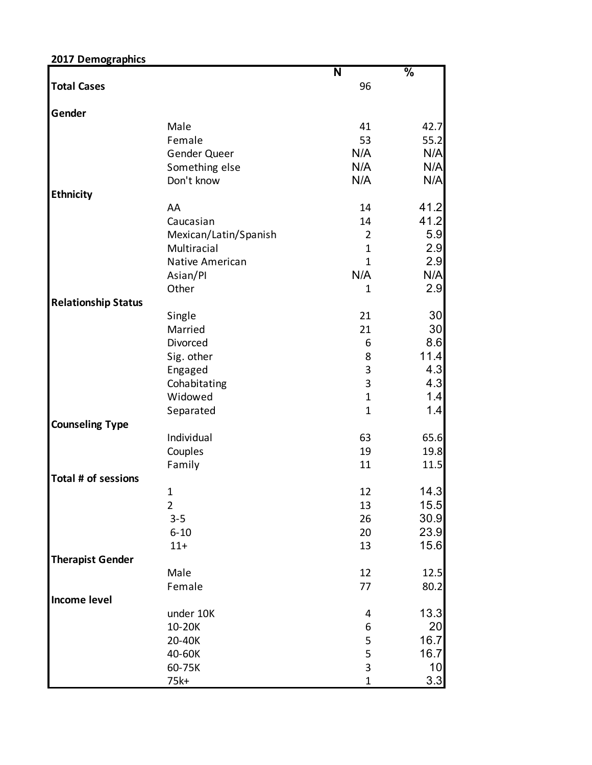| 2017 Demographics          |                        | N              | $\frac{0}{6}$ |
|----------------------------|------------------------|----------------|---------------|
| <b>Total Cases</b>         |                        | 96             |               |
| Gender                     |                        |                |               |
|                            | Male                   | 41             | 42.7          |
|                            | Female                 | 53             | 55.2          |
|                            | Gender Queer           | N/A            | N/A           |
|                            | Something else         | N/A            | N/A           |
|                            | Don't know             | N/A            | N/A           |
| <b>Ethnicity</b>           |                        |                |               |
|                            | AA                     | 14             | 41.2          |
|                            | Caucasian              | 14             | 41.2          |
|                            | Mexican/Latin/Spanish  | $\overline{2}$ | 5.9           |
|                            | Multiracial            | $\mathbf 1$    | 2.9           |
|                            | <b>Native American</b> | $\mathbf{1}$   | 2.9           |
|                            |                        |                |               |
|                            | Asian/Pl               | N/A            | N/A           |
|                            | Other                  | 1              | 2.9           |
| <b>Relationship Status</b> |                        |                |               |
|                            | Single                 | 21             | 30            |
|                            | Married                | 21             | 30            |
|                            | Divorced               | 6              | 8.6           |
|                            | Sig. other             | 8              | 11.4          |
|                            | Engaged                | 3              | 4.3           |
|                            | Cohabitating           | 3              | 4.3           |
|                            | Widowed                | $\mathbf{1}$   | 1.4           |
|                            | Separated              | $\mathbf 1$    | 1.4           |
| <b>Counseling Type</b>     |                        |                |               |
|                            | Individual             | 63             | 65.6          |
|                            | Couples                | 19             | 19.8          |
|                            | Family                 | 11             | 11.5          |
| Total # of sessions        |                        |                |               |
|                            | 1                      | 12             | 14.3          |
|                            | $\overline{2}$         | 13             | 15.5          |
|                            | $3 - 5$                | 26             | 30.9          |
|                            | $6 - 10$               | 20             | 23.9          |
|                            | $11+$                  | 13             | 15.6          |
| <b>Therapist Gender</b>    |                        |                |               |
|                            | Male                   | 12             | 12.5          |
|                            | Female                 | 77             | 80.2          |
| <b>Income level</b>        |                        |                |               |
|                            | under 10K              | 4              | 13.3          |
|                            |                        |                |               |
|                            | 10-20K                 | 6              | 20            |
|                            | 20-40K                 | 5              | 16.7          |
|                            | 40-60K                 | 5              | 16.7          |
|                            | 60-75K                 | 3              | 10            |
|                            | 75k+                   | $\mathbf 1$    | 3.3           |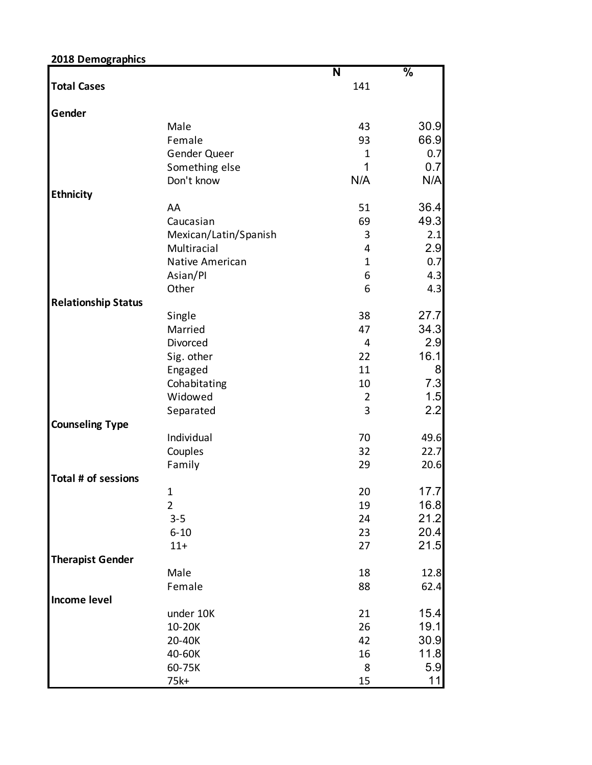| 2018 Demographics          |                        |                |               |
|----------------------------|------------------------|----------------|---------------|
|                            |                        | N              | $\frac{0}{6}$ |
| <b>Total Cases</b>         |                        | 141            |               |
| Gender                     |                        |                |               |
|                            | Male                   | 43             | 30.9          |
|                            | Female                 | 93             | 66.9          |
|                            | Gender Queer           | 1              | 0.7           |
|                            | Something else         | 1              | 0.7           |
|                            | Don't know             | N/A            | N/A           |
| <b>Ethnicity</b>           |                        |                |               |
|                            | AA                     | 51             | 36.4          |
|                            | Caucasian              | 69             | 49.3          |
|                            | Mexican/Latin/Spanish  | 3              | 2.1           |
|                            | Multiracial            | 4              | 2.9           |
|                            | <b>Native American</b> | $\mathbf 1$    | 0.7           |
|                            | Asian/Pl               | 6              | 4.3           |
|                            | Other                  | 6              | 4.3           |
| <b>Relationship Status</b> |                        |                |               |
|                            | Single                 | 38             | 27.7          |
|                            | Married                | 47             | 34.3          |
|                            | Divorced               | $\overline{4}$ | 2.9           |
|                            | Sig. other             | 22             | 16.1          |
|                            | Engaged                | 11             | 8             |
|                            | Cohabitating           | 10             | 7.3           |
|                            | Widowed                | $\overline{2}$ | 1.5           |
|                            | Separated              | 3              | 2.2           |
| <b>Counseling Type</b>     |                        |                |               |
|                            | Individual             | 70             | 49.6          |
|                            | Couples                | 32             | 22.7          |
|                            | Family                 | 29             | 20.6          |
| Total # of sessions        |                        |                |               |
|                            | $\mathbf 1$            | 20             | 17.7          |
|                            | $\overline{2}$         | 19             | 16.8          |
|                            | $3 - 5$                | 24             | 21.2          |
|                            | $6 - 10$               | 23             | 20.4          |
|                            | $11+$                  | 27             | 21.5          |
| <b>Therapist Gender</b>    |                        |                |               |
|                            | Male                   | 18             | 12.8          |
|                            | Female                 | 88             | 62.4          |
| <b>Income level</b>        |                        |                |               |
|                            | under 10K              | 21             | 15.4          |
|                            | 10-20K                 | 26             | 19.1          |
|                            | 20-40K                 | 42             | 30.9          |
|                            | 40-60K                 | 16             | 11.8          |
|                            | 60-75K                 | 8              | 5.9           |
|                            | 75k+                   | 15             | 11            |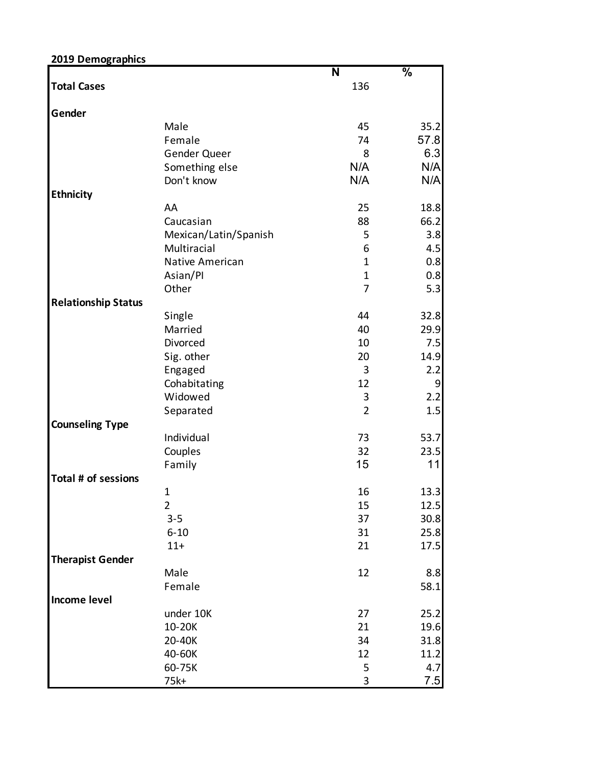| 2019 Demographics          |                         |                           |                          |
|----------------------------|-------------------------|---------------------------|--------------------------|
|                            |                         | N                         | $\overline{\frac{9}{6}}$ |
| <b>Total Cases</b>         |                         | 136                       |                          |
| Gender                     |                         |                           |                          |
|                            | Male                    | 45                        | 35.2                     |
|                            | Female                  | 74                        | 57.8                     |
|                            | Gender Queer            | 8                         | 6.3                      |
|                            | Something else          | N/A                       | N/A                      |
|                            | Don't know              | N/A                       | N/A                      |
| <b>Ethnicity</b>           |                         |                           |                          |
|                            | AA                      | 25                        | 18.8                     |
|                            | Caucasian               | 88                        | 66.2                     |
|                            | Mexican/Latin/Spanish   | 5                         | 3.8                      |
|                            | Multiracial             | 6                         | 4.5                      |
|                            | Native American         | $\mathbf 1$               | 0.8                      |
|                            | Asian/Pl                | $\mathbf 1$               | 0.8                      |
|                            | Other                   | 7                         | 5.3                      |
| <b>Relationship Status</b> |                         |                           |                          |
|                            | Single                  | 44                        | 32.8                     |
|                            | Married                 | 40                        | 29.9                     |
|                            | Divorced                | 10                        | 7.5                      |
|                            | Sig. other              | 20                        | 14.9                     |
|                            |                         | 3                         | 2.2                      |
|                            | Engaged<br>Cohabitating | 12                        | $\boldsymbol{9}$         |
|                            | Widowed                 |                           | 2.2                      |
|                            |                         | 3                         |                          |
|                            | Separated               | $\overline{2}$            | 1.5                      |
| <b>Counseling Type</b>     |                         |                           |                          |
|                            | Individual              | 73                        | 53.7                     |
|                            | Couples                 | 32                        | 23.5                     |
|                            | Family                  | 15                        | 11                       |
| Total # of sessions        |                         |                           |                          |
|                            | $\mathbf 1$             | 16                        | 13.3                     |
|                            | $\overline{2}$          | 15                        | 12.5                     |
|                            | $3 - 5$                 | 37                        | 30.8                     |
|                            | $6 - 10$                | 31                        | 25.8                     |
|                            | $11+$                   | 21                        | 17.5                     |
| <b>Therapist Gender</b>    |                         |                           |                          |
|                            | Male                    | 12                        | 8.8                      |
|                            | Female                  |                           | 58.1                     |
| <b>Income level</b>        |                         |                           |                          |
|                            | under 10K               | 27                        | 25.2                     |
|                            | 10-20K                  | 21                        | 19.6                     |
|                            | 20-40K                  | 34                        | 31.8                     |
|                            | 40-60K                  | 12                        | 11.2                     |
|                            | 60-75K                  | 5                         | 4.7                      |
|                            | 75k+                    | $\ensuremath{\mathsf{3}}$ | 7.5                      |